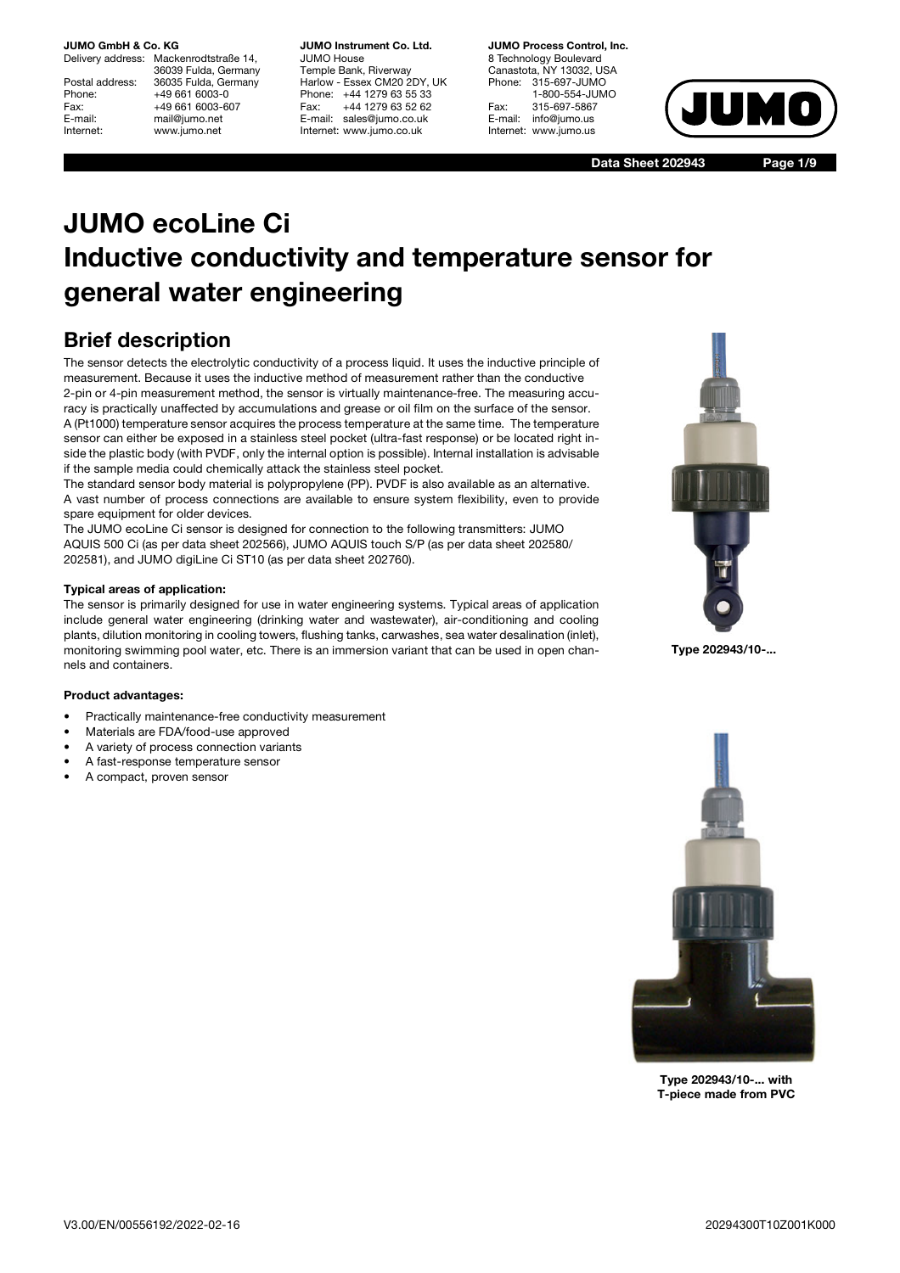# **JUMO GmbH & Co. KG**<br>Delivery address: Mack

Mackenrodtstraße 14, 36039 Fulda, Germany Postal address: 36035 Fulda, Germany<br>Phone: +49 661 6003-0 Phone: +49 661 6003-0<br>Fax: +49 661 6003-6 Fax: +49 661 6003-607<br>
E-mail: +49 661 6003-607 E-mail: mail@jumo.net<br>
Internet: www.iumo.net www.jumo.net

**JUMO Instrument Co. Ltd.** JUMO House Temple Bank, Riverway Harlow - Essex CM20 2DY, UK Phone: +44 1279 63 55 33<br>Fax: +44 1279 63 52 62 +44 1279 63 52 62 E-mail: sales@jumo.co.uk Internet: www.jumo.co.uk

**JUMO Process Control, Inc.** 8 Technology Boulevard Canastota, NY 13032, USA Phone: 315-697-JUMO 1-800-554-JUMO Fax: 315-697-5867<br>E-mail: info@jumo.us info@jumo.us Internet: www.jumo.us



**Data Sheet 202943 Page 1/9**

# **JUMO ecoLine Ci Inductive conductivity and temperature sensor for general water engineering**

## **Brief description**

The sensor detects the electrolytic conductivity of a process liquid. It uses the inductive principle of measurement. Because it uses the inductive method of measurement rather than the conductive 2-pin or 4-pin measurement method, the sensor is virtually maintenance-free. The measuring accuracy is practically unaffected by accumulations and grease or oil film on the surface of the sensor. A (Pt1000) temperature sensor acquires the process temperature at the same time. The temperature sensor can either be exposed in a stainless steel pocket (ultra-fast response) or be located right inside the plastic body (with PVDF, only the internal option is possible). Internal installation is advisable if the sample media could chemically attack the stainless steel pocket.

The standard sensor body material is polypropylene (PP). PVDF is also available as an alternative. A vast number of process connections are available to ensure system flexibility, even to provide spare equipment for older devices.

The JUMO ecoLine Ci sensor is designed for connection to the following transmitters: JUMO AQUIS 500 Ci (as per data sheet 202566), JUMO AQUIS touch S/P (as per data sheet 202580/ 202581), and JUMO digiLine Ci ST10 (as per data sheet 202760).

#### **Typical areas of application:**

The sensor is primarily designed for use in water engineering systems. Typical areas of application include general water engineering (drinking water and wastewater), air-conditioning and cooling plants, dilution monitoring in cooling towers, flushing tanks, carwashes, sea water desalination (inlet), monitoring swimming pool water, etc. There is an immersion variant that can be used in open channels and containers.

#### **Product advantages:**

- Practically maintenance-free conductivity measurement
- Materials are FDA/food-use approved
- A variety of process connection variants
- A fast-response temperature sensor
- A compact, proven sensor



**Type 202943/10-...**



**Type 202943/10-... with T-piece made from PVC**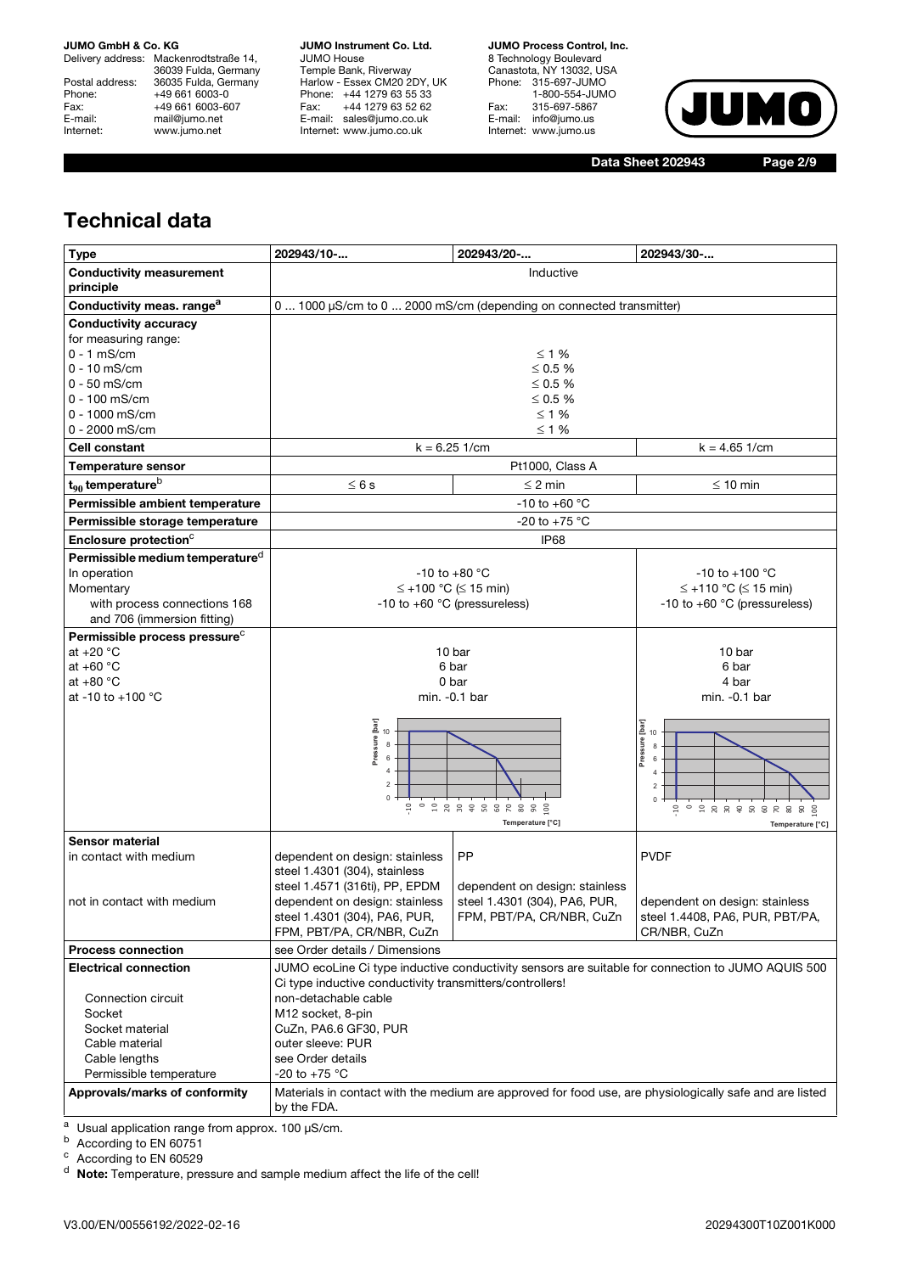Delivery address: Mackenrodtstraße 14, 36039 Fulda, Germany Postal address: 36035 Fulda, Germany Phone: +49 661 6003-0<br>Fax: +49 661 6003-0 Fax: +49 661 6003-607<br>E-mail: +49 661 6003-607 E-mail: mail@jumo.net<br>
Internet: www.jumo.net www.jumo.net

**JUMO Instrument Co. Ltd.** JUMO House Temple Bank, Riverway Harlow - Essex CM20 2DY, UK Phone: +44 1279 63 55 33 Fax: +44 1279 63 52 62 E-mail: sales@jumo.co.uk Internet: www.jumo.co.uk

**JUMO Process Control, Inc.**

8 Technology Boulevard Canastota, NY 13032, USA Phone: 315-697-JUMO 1-800-554-JUMO Fax: 315-697-5867 E-mail: info@jumo.us Internet: www.jumo.us



**Data Sheet 202943 Page 2/9**

## **Technical data**

| <b>Type</b>                                 | 202943/10-                                                          | 202943/20-                      | 202943/30-                                                                                              |  |
|---------------------------------------------|---------------------------------------------------------------------|---------------------------------|---------------------------------------------------------------------------------------------------------|--|
| <b>Conductivity measurement</b>             |                                                                     | Inductive                       |                                                                                                         |  |
| principle                                   |                                                                     |                                 |                                                                                                         |  |
| Conductivity meas. range <sup>a</sup>       | 0  1000 µS/cm to 0  2000 mS/cm (depending on connected transmitter) |                                 |                                                                                                         |  |
| <b>Conductivity accuracy</b>                |                                                                     |                                 |                                                                                                         |  |
| for measuring range:                        |                                                                     |                                 |                                                                                                         |  |
| $0 - 1$ mS/cm                               |                                                                     | $\leq 1\%$                      |                                                                                                         |  |
| $0 - 10$ mS/cm                              |                                                                     | ≤ 0.5 $%$                       |                                                                                                         |  |
| $0 - 50$ mS/cm                              |                                                                     | ≤ 0.5 $%$                       |                                                                                                         |  |
| $0 - 100$ mS/cm                             |                                                                     | $\leq 0.5 \%$                   |                                                                                                         |  |
| 0 - 1000 mS/cm                              |                                                                     | $\leq 1$ %                      |                                                                                                         |  |
| 0 - 2000 mS/cm                              |                                                                     | $\leq 1$ %                      |                                                                                                         |  |
| Cell constant                               |                                                                     | $k = 6.25$ 1/cm                 | $k = 4.65$ 1/cm                                                                                         |  |
| <b>Temperature sensor</b>                   |                                                                     | Pt1000, Class A                 |                                                                                                         |  |
| $t_{90}$ temperature <sup>b</sup>           | $\leq 6s$                                                           | $\leq$ 2 min                    | $\leq 10$ min                                                                                           |  |
| Permissible ambient temperature             |                                                                     | $-10$ to $+60$ °C               |                                                                                                         |  |
| Permissible storage temperature             |                                                                     | -20 to +75 $^{\circ}$ C         |                                                                                                         |  |
| Enclosure protection <sup>c</sup>           |                                                                     | IP <sub>68</sub>                |                                                                                                         |  |
| Permissible medium temperature <sup>d</sup> |                                                                     |                                 |                                                                                                         |  |
| In operation                                |                                                                     | $-10$ to $+80$ °C               | $-10$ to $+100$ °C                                                                                      |  |
| Momentary                                   |                                                                     | $\leq$ +100 °C ( $\leq$ 15 min) | $\leq$ +110 °C ( $\leq$ 15 min)                                                                         |  |
| with process connections 168                | -10 to +60 $^{\circ}$ C (pressureless)                              |                                 | -10 to +60 $^{\circ}$ C (pressureless)                                                                  |  |
| and 706 (immersion fitting)                 |                                                                     |                                 |                                                                                                         |  |
| Permissible process pressure <sup>c</sup>   |                                                                     |                                 |                                                                                                         |  |
| at $+20 °C$                                 |                                                                     | 10 bar                          | 10 bar                                                                                                  |  |
| at $+60 °C$                                 |                                                                     | 6 bar                           | 6 bar                                                                                                   |  |
| at $+80 °C$                                 |                                                                     | 0 bar                           | 4 bar                                                                                                   |  |
| at -10 to +100 $^{\circ}$ C                 |                                                                     | min. -0.1 bar                   | min. - 0.1 bar                                                                                          |  |
|                                             |                                                                     |                                 |                                                                                                         |  |
|                                             | Pressure [bar]<br>10<br>8                                           |                                 | Pressure [bar]<br>10<br>8                                                                               |  |
|                                             | 6                                                                   |                                 | 6                                                                                                       |  |
|                                             | $\overline{4}$                                                      |                                 |                                                                                                         |  |
|                                             | $\sqrt{2}$                                                          |                                 | $\overline{\phantom{a}}$                                                                                |  |
|                                             | $\mathbf 0$<br>$\Xi$                                                | $0 9 8 8 8 8 8 8 8 8$           | $\pmb{0}$<br>$\Xi$                                                                                      |  |
|                                             |                                                                     | Temperature [°C]                |                                                                                                         |  |
| <b>Sensor material</b>                      |                                                                     |                                 |                                                                                                         |  |
| in contact with medium                      | dependent on design: stainless                                      | PP                              | <b>PVDF</b>                                                                                             |  |
|                                             | steel 1.4301 (304), stainless                                       |                                 |                                                                                                         |  |
|                                             | steel 1.4571 (316ti), PP, EPDM                                      | dependent on design: stainless  |                                                                                                         |  |
| not in contact with medium                  | dependent on design: stainless                                      | steel 1.4301 (304), PA6, PUR,   | dependent on design: stainless                                                                          |  |
|                                             | steel 1.4301 (304), PA6, PUR,                                       | FPM, PBT/PA, CR/NBR, CuZn       | steel 1.4408, PA6, PUR, PBT/PA,                                                                         |  |
|                                             | FPM, PBT/PA, CR/NBR, CuZn                                           |                                 | CR/NBR, CuZn                                                                                            |  |
| <b>Process connection</b>                   | see Order details / Dimensions                                      |                                 |                                                                                                         |  |
| <b>Electrical connection</b>                |                                                                     |                                 | JUMO ecoLine Ci type inductive conductivity sensors are suitable for connection to JUMO AQUIS 500       |  |
|                                             | Ci type inductive conductivity transmitters/controllers!            |                                 |                                                                                                         |  |
| Connection circuit                          | non-detachable cable                                                |                                 |                                                                                                         |  |
| Socket                                      | M12 socket, 8-pin                                                   |                                 |                                                                                                         |  |
| Socket material                             | CuZn, PA6.6 GF30, PUR                                               |                                 |                                                                                                         |  |
| Cable material                              | outer sleeve: PUR                                                   |                                 |                                                                                                         |  |
| Cable lengths                               | see Order details<br>-20 to +75 °C                                  |                                 |                                                                                                         |  |
| Permissible temperature                     |                                                                     |                                 |                                                                                                         |  |
| Approvals/marks of conformity               | by the FDA.                                                         |                                 | Materials in contact with the medium are approved for food use, are physiologically safe and are listed |  |
|                                             |                                                                     |                                 |                                                                                                         |  |

 $a$  Usual application range from approx. 100  $\mu$ S/cm.

b According to EN 60751

<sup>c</sup> According to EN 60529

<sup>d</sup> **Note:** Temperature, pressure and sample medium affect the life of the cell!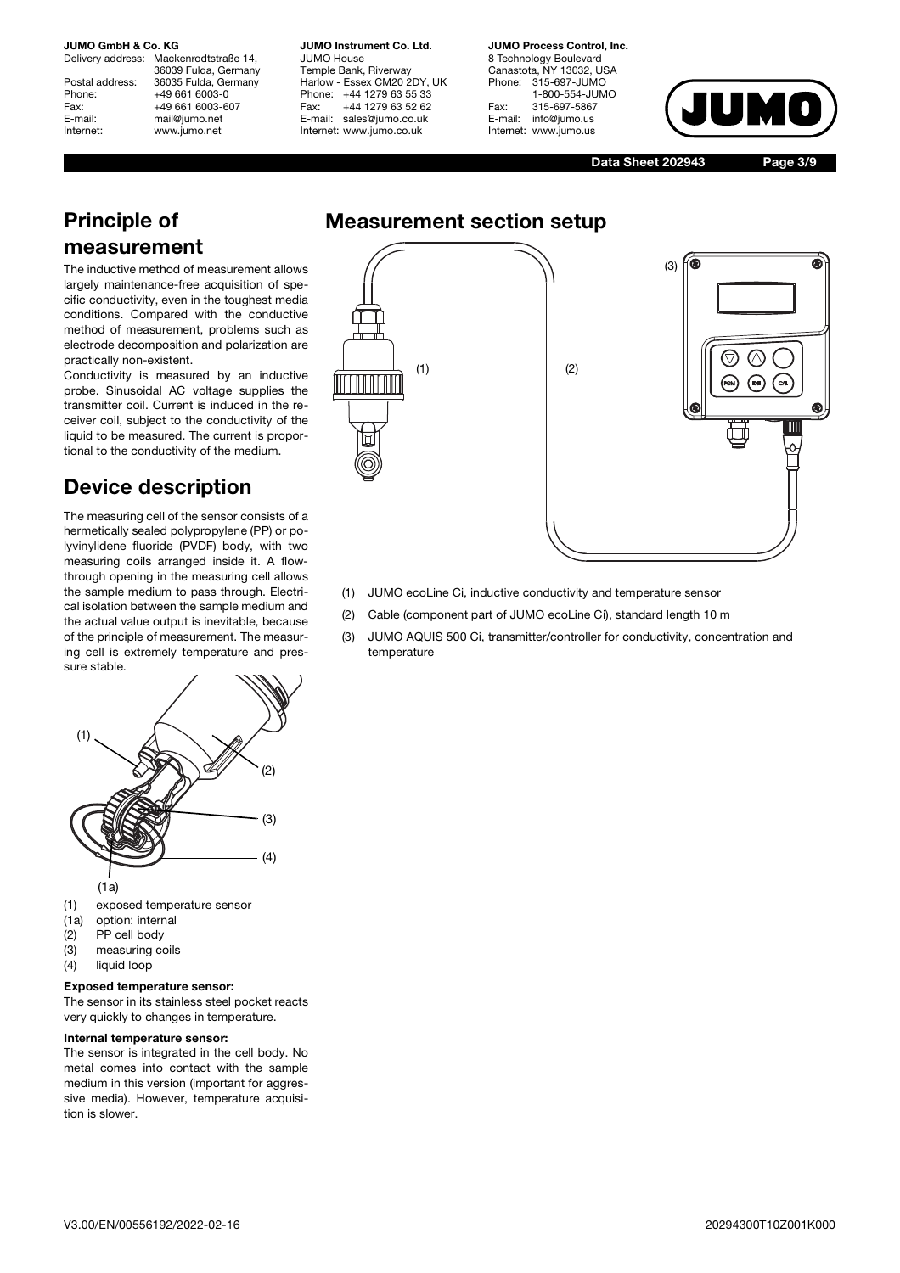# **JUMO GmbH & Co. KG**<br>Delivery address: Mack

Mackenrodtstraße 14, 36039 Fulda, Germany Postal address: 36035 Fulda, Germany<br>Phone: +49 661 6003-0 Phone: +49 661 6003-0<br>Fax: +49 661 6003-6 Fax: +49 661 6003-607<br>
E-mail: mail@jumo.net E-mail: mail@jumo.net<br>
Internet: www.iumo.net www.jumo.net

**JUMO Instrument Co. Ltd.** JUMO House Temple Bank, Riverway Harlow - Essex CM20 2DY, UK Phone: +44 1279 63 55 33<br>Fax: +44 1279 63 52 62 +44 1279 63 52 62 E-mail: sales@jumo.co.uk Internet: www.jumo.co.uk

**JUMO Process Control, Inc.** 8 Technology Boulevard Canastota, NY 13032, USA Phone: 315-697-JUMO 1-800-554-JUMO Fax: 315-697-5867<br>E-mail: info@jumo.us info@jumo.us Internet: www.jumo.us



**Data Sheet 202943 Page 3/9**

## **Principle of measurement**

The inductive method of measurement allows largely maintenance-free acquisition of specific conductivity, even in the toughest media conditions. Compared with the conductive method of measurement, problems such as electrode decomposition and polarization are practically non-existent.

Conductivity is measured by an inductive probe. Sinusoidal AC voltage supplies the transmitter coil. Current is induced in the receiver coil, subject to the conductivity of the liquid to be measured. The current is proportional to the conductivity of the medium.

## **Device description**

The measuring cell of the sensor consists of a hermetically sealed polypropylene (PP) or polyvinylidene fluoride (PVDF) body, with two measuring coils arranged inside it. A flowthrough opening in the measuring cell allows the sample medium to pass through. Electrical isolation between the sample medium and the actual value output is inevitable, because of the principle of measurement. The measuring cell is extremely temperature and pressure stable.



- (1) exposed temperature sensor
- (1a) option: internal
- (2) PP cell body
- (3) measuring coils
- (4) liquid loop

#### **Exposed temperature sensor:**

The sensor in its stainless steel pocket reacts very quickly to changes in temperature.

#### **Internal temperature sensor:**

The sensor is integrated in the cell body. No metal comes into contact with the sample medium in this version (important for aggressive media). However, temperature acquisition is slower.



- (1) JUMO ecoLine Ci, inductive conductivity and temperature sensor
- (2) Cable (component part of JUMO ecoLine Ci), standard length 10 m
- (3) JUMO AQUIS 500 Ci, transmitter/controller for conductivity, concentration and temperature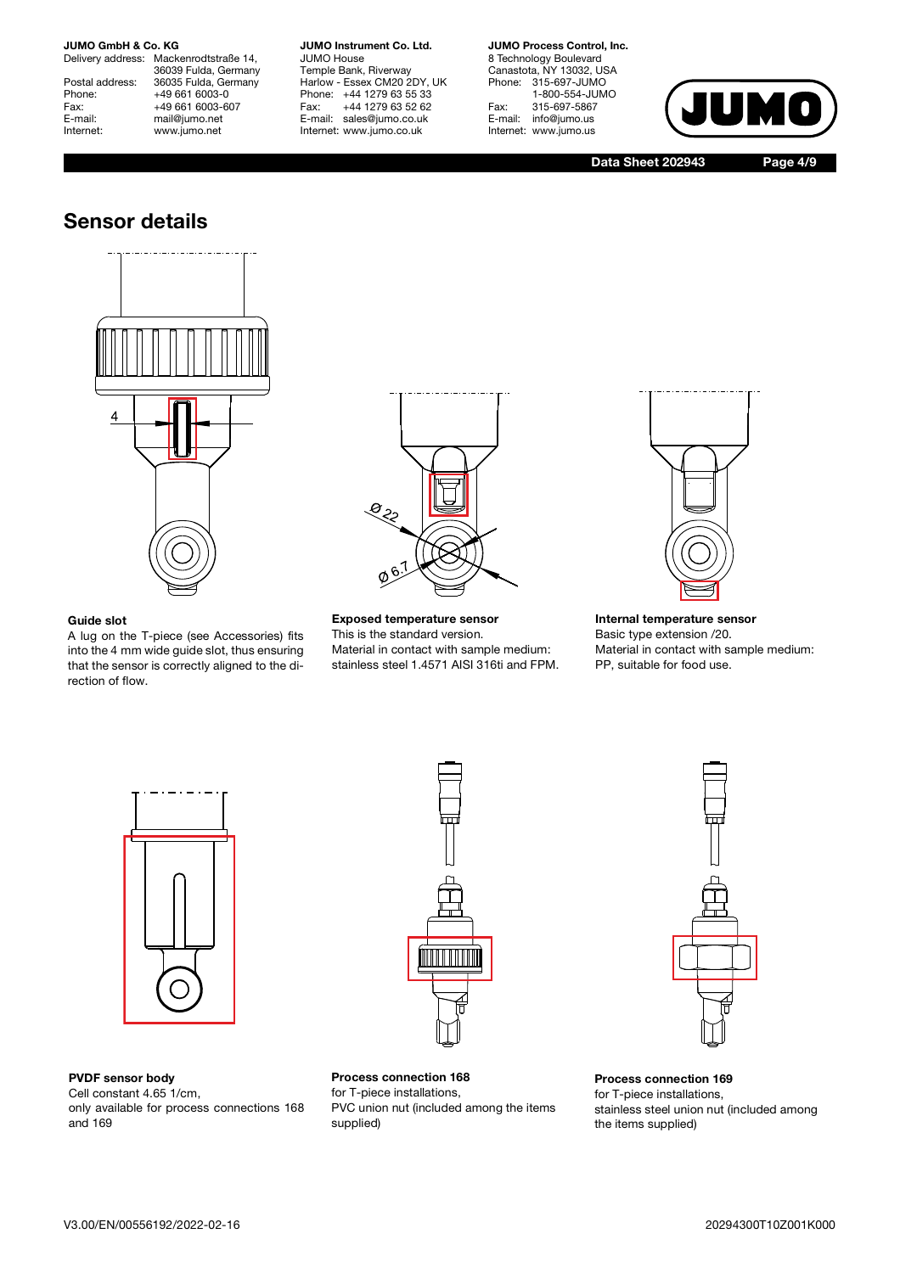# **JUMO GmbH & Co. KG**<br>Delivery address: Macke

Mackenrodtstraße 14, 36039 Fulda, Germany Postal address: 36035 Fulda, Germany<br>Phone: +49 661 6003-0 Phone: +49 661 6003-0<br>Fax: +49 661 6003-6 Fax: +49 661 6003-607<br>
E-mail: mail@jumo.net E-mail: mail@jumo.net<br>
Internet: www.jumo.net www.jumo.net

**JUMO Instrument Co. Ltd.** JUMO House Temple Bank, Riverway Harlow - Essex CM20 2DY, UK Phone: +44 1279 63 55 33<br>Fax: +44 1279 63 52 62 Fax: +44 1279 63 52 62 E-mail: sales@jumo.co.uk Internet: www.jumo.co.uk

#### **JUMO Process Control, Inc.**

8 Technology Boulevard Canastota, NY 13032, USA Phone: 315-697-JUMO 1-800-554-JUMO Fax: 315-697-5867<br>E-mail: info@jumo.us info@jumo.us Internet: www.jumo.us



**Data Sheet 202943 Page 4/9**

### **Sensor details**



### **Guide slot**

A lug on the T-piece (see Accessories) fits into the 4 mm wide guide slot, thus ensuring that the sensor is correctly aligned to the direction of flow.



**Exposed temperature sensor** This is the standard version. Material in contact with sample medium: stainless steel 1.4571 AISI 316ti and FPM.



**Internal temperature sensor** Basic type extension /20. Material in contact with sample medium: PP, suitable for food use.



**PVDF sensor body**

Cell constant 4.65 1/cm, only available for process connections 168 and 169



**Process connection 168** for T-piece installations, PVC union nut (included among the items supplied)



**Process connection 169** for T-piece installations, stainless steel union nut (included among the items supplied)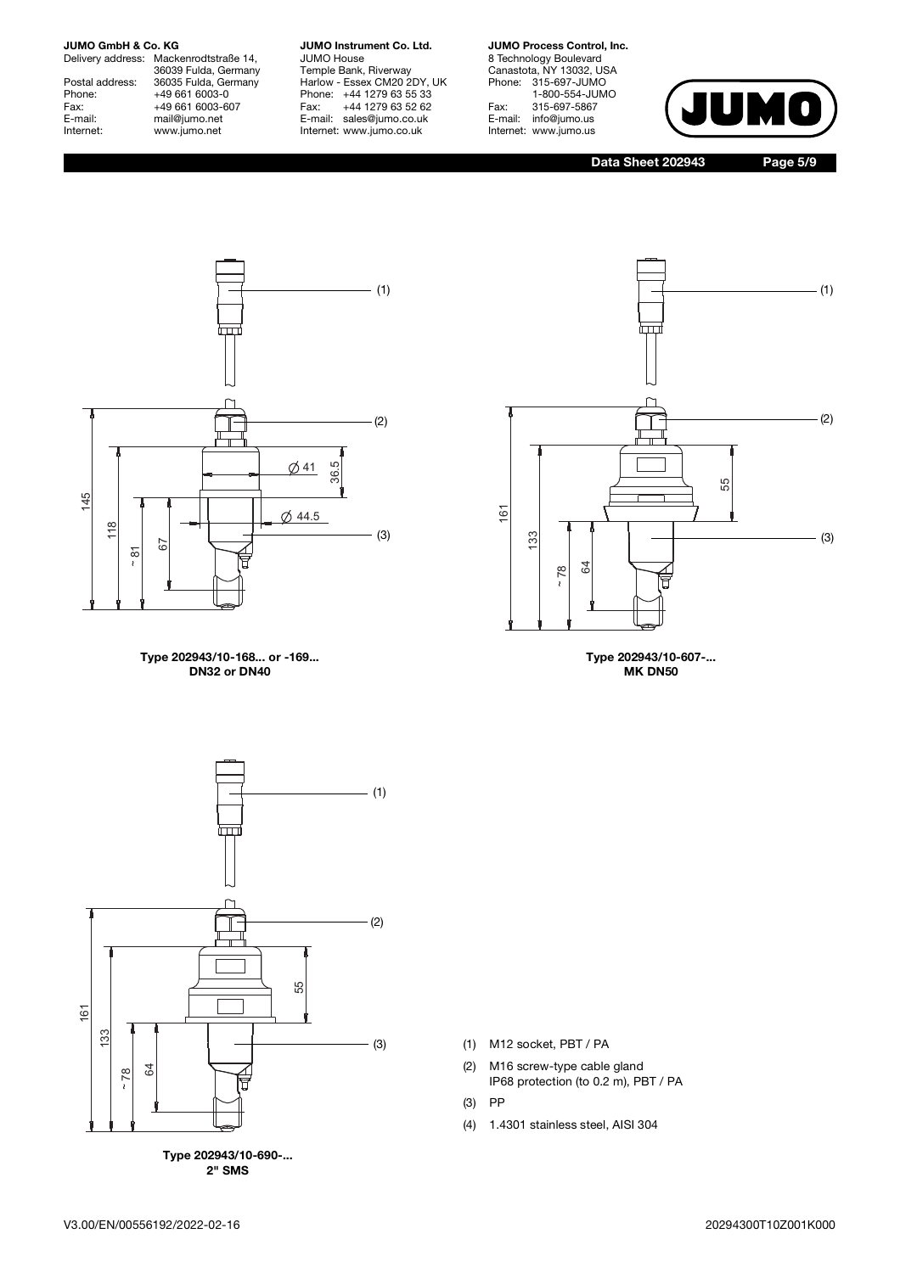Delivery address: Mackenrodtstraße 14, 36039 Fulda, Germany Postal address: 36035 Fulda, Germany Phone: +49 661 6003-0<br>Fax: +49 661 6003-0 Fax: +49 661 6003-607<br>
E-mail: mail@jumo.net E-mail: mail@jumo.net<br>
Internet: www.jumo.net www.jumo.net

#### **JUMO Instrument Co. Ltd.** JUMO House

Temple Bank, Riverway Harlow - Essex CM20 2DY, UK Phone: +44 1279 63 55 33 Fax: +44 1279 63 52 62 E-mail: sales@jumo.co.uk Internet: www.jumo.co.uk

### **JUMO Process Control, Inc.**

8 Technology Boulevard Canastota, NY 13032, USA Phone: 315-697-JUMO 1-800-554-JUMO Fax: 315-697-5867<br>E-mail: info@jumo.us info@jumo.us Internet: www.jumo.us



**Data Sheet 202943 Page 5/9**



**Type 202943/10-168... or -169... DN32 or DN40**



**Type 202943/10-607-... MK DN50**



**2" SMS**

- (1) M12 socket, PBT / PA
- (2) M16 screw-type cable gland IP68 protection (to 0.2 m), PBT / PA
- (3) PP
- (4) 1.4301 stainless steel, AISI 304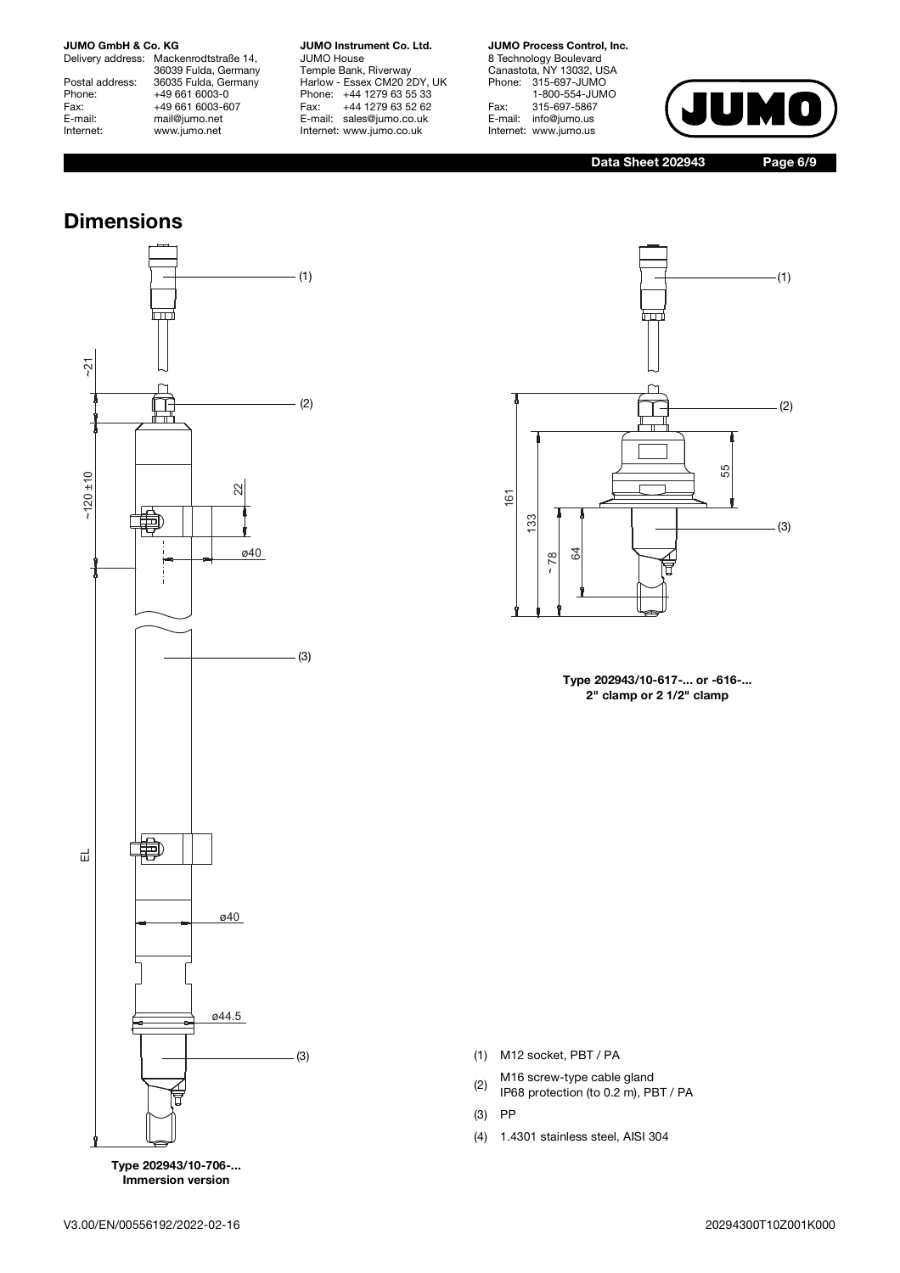Delivery address: Mackenrodtstraße 14, 36039 Fulda, Germany Postal address: 36035 Fulda, Germany Phone: +49 661 6003-0<br>Fax: +49 661 6003-0 Fax: +49 661 6003-607<br>
E-mail: mail@jumo.net E-mail: mail@jumo.net<br>
Internet: www.jumo.net www.jumo.net

**JUMO Instrument Co. Ltd.** JUMO House Temple Bank, Riverway

Harlow - Essex CM20 2DY, UK Phone: +44 1279 63 55 33 Fax: +44 1279 63 52 62 E-mail: sales@jumo.co.uk Internet: www.jumo.co.uk

### **JUMO Process Control, Inc.**

8 Technology Boulevard Canastota, NY 13032, USA Phone: 315-697-JUMO 1-800-554-JUMO Fax: 315-697-5867<br>E-mail: info@jumo.us info@jumo.us Internet: www.jumo.us



**Data Sheet 202943 Page 6/9**

## **Dimensions**



**Immersion version**



**Type 202943/10-617-... or -616-... 2" clamp or 2 1/2" clamp**

(1) M12 socket, PBT / PA

 $(2)$  M16 screw-type cable gland

IP68 protection (to 0.2 m), PBT / PA

(3) PP

(4) 1.4301 stainless steel, AISI 304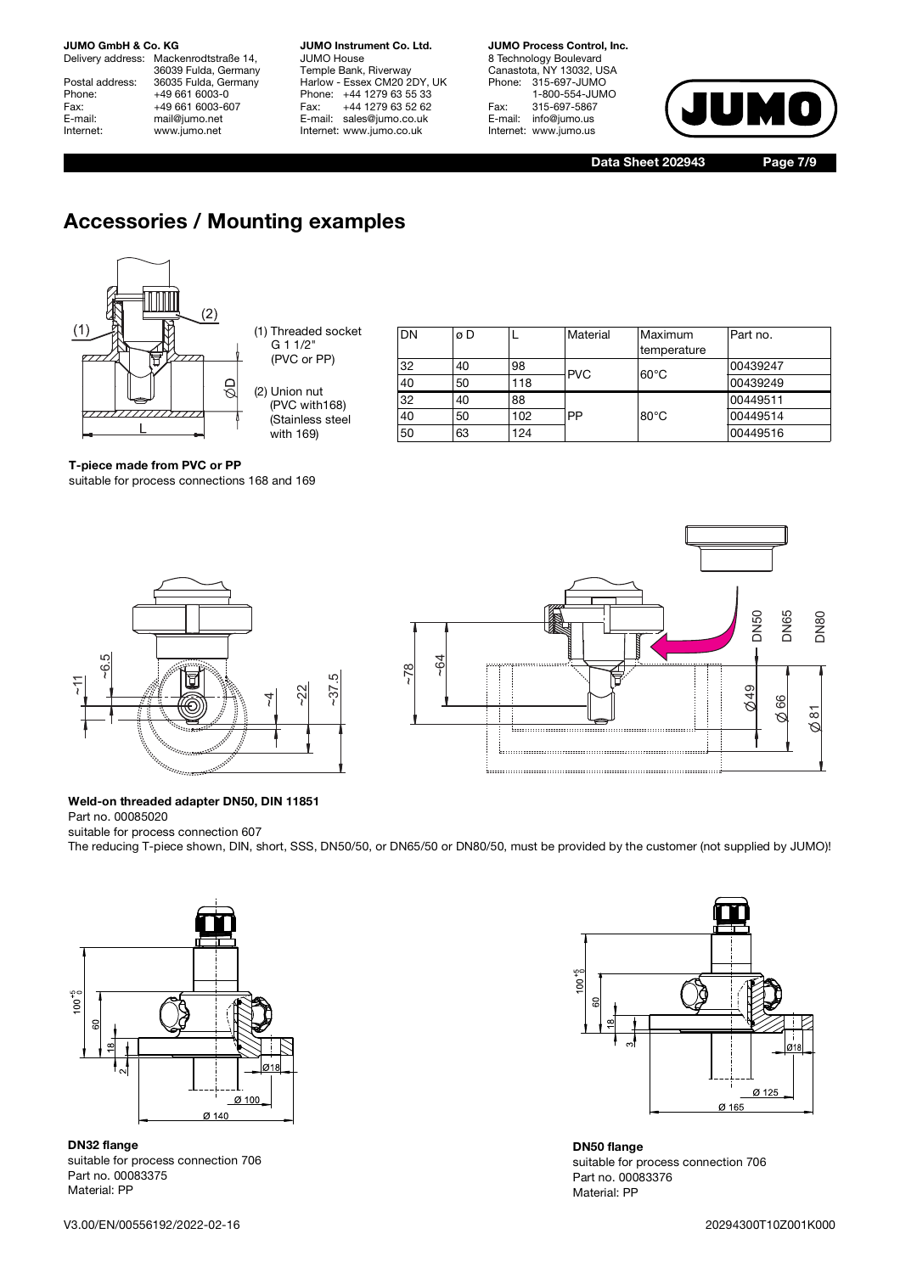# **JUMO GmbH & Co. KG**<br>Delivery address: Mack

Mackenrodtstraße 14, 36039 Fulda, Germany Postal address: 36035 Fulda, Germany<br>Phone: +49 661 6003-0 Phone: +49 661 6003-0<br>Fax: +49 661 6003-6 Fax: +49 661 6003-607<br>
E-mail: mail@jumo.net E-mail: mail@jumo.net<br>
Internet: www.jumo.net www.jumo.net

**JUMO Instrument Co. Ltd.** JUMO House Temple Bank, Riverway Harlow - Essex CM20 2DY, UK Phone: +44 1279 63 55 33<br>Fax: +44 1279 63 52 62 Fax: +44 1279 63 52 62 E-mail: sales@jumo.co.uk Internet: www.jumo.co.uk

**JUMO Process Control, Inc.** 8 Technology Boulevard Canastota, NY 13032, USA Phone: 315-697-JUMO 1-800-554-JUMO Fax: 315-697-5867<br>E-mail: info@jumo.us info@jumo.us Internet: www.jumo.us



**Data Sheet 202943 Page 7/9**

# **Accessories / Mounting examples**



| DN | øD |     | Material   | Maximum        | Part no. |
|----|----|-----|------------|----------------|----------|
|    |    |     |            | temperature    |          |
| 32 | 40 | 98  | <b>PVC</b> | $60^{\circ}$ C | 00439247 |
| 40 | 50 | 118 |            |                | 00439249 |
| 32 | 40 | 88  |            |                | 00449511 |
| 40 | 50 | 102 | PP         | $80^{\circ}$ C | 00449514 |
| 50 | 63 | 124 |            |                | 00449516 |

### **T-piece made from PVC or PP**

suitable for process connections 168 and 169





### **Weld-on threaded adapter DN50, DIN 11851**

Part no. 00085020 suitable for process connection 607

The reducing T-piece shown, DIN, short, SSS, DN50/50, or DN65/50 or DN80/50, must be provided by the customer (not supplied by JUMO)!



**DN32 flange** suitable for process connection 706 Part no. 00083375 Material: PP



**DN50 flange** suitable for process connection 706 Part no. 00083376 Material: PP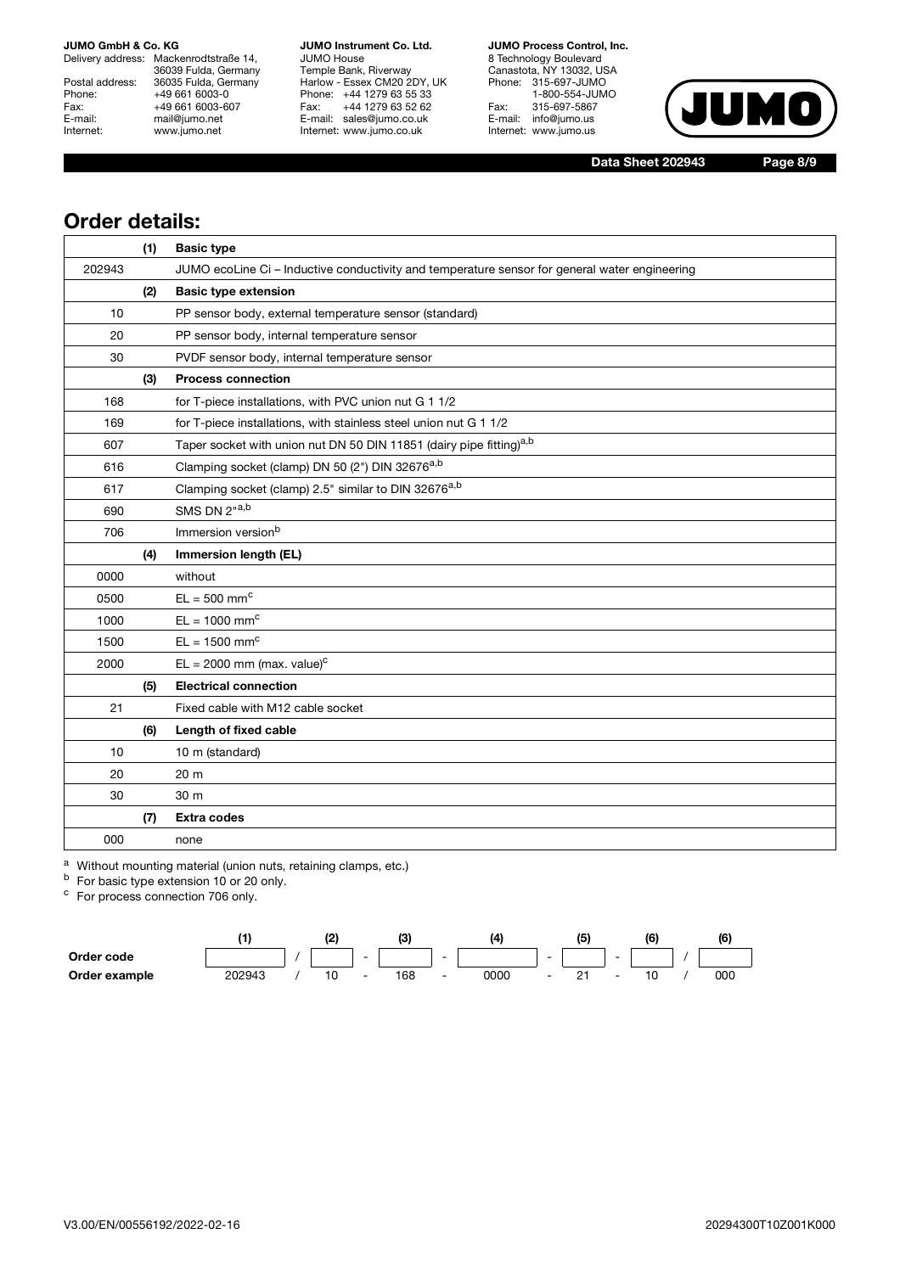Delivery address: Mackenrodtstraße 14, 36039 Fulda, Germany Postal address: 36035 Fulda, Germany Phone: +49 661 6003-0<br>Fax: +49 661 6003-0 Fax: +49 661 6003-607<br>
E-mail: mail@jumo.net E-mail: mail@jumo.net<br>
Internet: www.jumo.net www.jumo.net

**JUMO Instrument Co. Ltd.** JUMO House Temple Bank, Riverway Harlow - Essex CM20 2DY, UK Phone: +44 1279 63 55 33 Fax: +44 1279 63 52 62 E-mail: sales@jumo.co.uk Internet: www.jumo.co.uk

**JUMO Process Control, Inc.** 8 Technology Boulevard Canastota, NY 13032, USA Phone: 315-697-JUMO 1-800-554-JUMO Fax: 315-697-5867

E-mail: info@jumo.us Internet: www.jumo.us  $\bigcap$ 

**Data Sheet 202943 Page 8/9**

### **Order details:**

|        | (1) | <b>Basic type</b>                                                                             |
|--------|-----|-----------------------------------------------------------------------------------------------|
| 202943 |     | JUMO ecoLine Ci - Inductive conductivity and temperature sensor for general water engineering |
|        | (2) | <b>Basic type extension</b>                                                                   |
| 10     |     | PP sensor body, external temperature sensor (standard)                                        |
| 20     |     | PP sensor body, internal temperature sensor                                                   |
| 30     |     | PVDF sensor body, internal temperature sensor                                                 |
|        | (3) | <b>Process connection</b>                                                                     |
| 168    |     | for T-piece installations, with PVC union nut G 1 1/2                                         |
| 169    |     | for T-piece installations, with stainless steel union nut G 1 1/2                             |
| 607    |     | Taper socket with union nut DN 50 DIN 11851 (dairy pipe fitting) <sup>a,b</sup>               |
| 616    |     | Clamping socket (clamp) DN 50 (2") DIN 32676a,b                                               |
| 617    |     | Clamping socket (clamp) 2.5" similar to DIN 32676a,b                                          |
| 690    |     | SMS DN 2"a,b                                                                                  |
| 706    |     | Immersion version <sup>b</sup>                                                                |
|        | (4) | Immersion length (EL)                                                                         |
| 0000   |     | without                                                                                       |
| 0500   |     | $EL = 500$ mm <sup>c</sup>                                                                    |
| 1000   |     | $EL = 1000$ mm <sup>c</sup>                                                                   |
| 1500   |     | $EL = 1500$ mm <sup>c</sup>                                                                   |
| 2000   |     | $EL = 2000$ mm (max. value) <sup>c</sup>                                                      |
|        | (5) | <b>Electrical connection</b>                                                                  |
| 21     |     | Fixed cable with M12 cable socket                                                             |
|        | (6) | Length of fixed cable                                                                         |
| 10     |     | 10 m (standard)                                                                               |
| 20     |     | 20 m                                                                                          |
| 30     |     | 30 m                                                                                          |
|        | (7) | <b>Extra codes</b>                                                                            |
| 000    |     | none                                                                                          |

a Without mounting material (union nuts, retaining clamps, etc.)

<sup>b</sup> For basic type extension 10 or 20 only.

<sup>c</sup> For process connection 706 only.